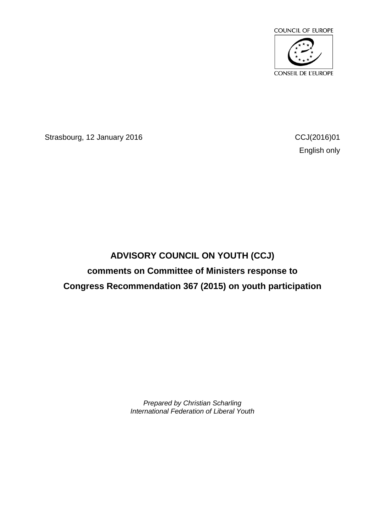

Strasbourg, 12 January 2016 **CCJ**(2016)01

English only

## **ADVISORY COUNCIL ON YOUTH (CCJ) comments on Committee of Ministers response to Congress Recommendation 367 (2015) on youth participation**

*Prepared by Christian Scharling International Federation of Liberal Youth*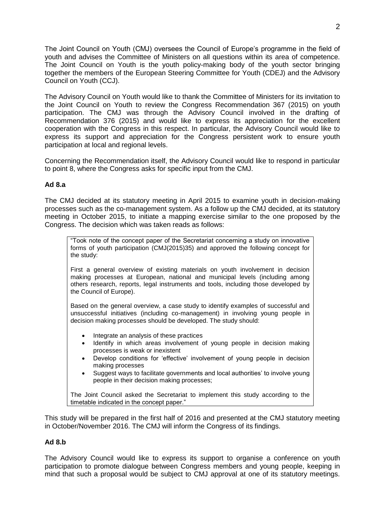The Joint Council on Youth (CMJ) oversees the Council of Europe's programme in the field of youth and advises the Committee of Ministers on all questions within its area of competence. The Joint Council on Youth is the youth policy-making body of the youth sector bringing together the members of the European Steering Committee for Youth (CDEJ) and the Advisory Council on Youth (CCJ).

The Advisory Council on Youth would like to thank the Committee of Ministers for its invitation to the Joint Council on Youth to review the Congress Recommendation 367 (2015) on youth participation. The CMJ was through the Advisory Council involved in the drafting of Recommendation 376 (2015) and would like to express its appreciation for the excellent cooperation with the Congress in this respect. In particular, the Advisory Council would like to express its support and appreciation for the Congress persistent work to ensure youth participation at local and regional levels.

Concerning the Recommendation itself, the Advisory Council would like to respond in particular to point 8, where the Congress asks for specific input from the CMJ.

## **Ad 8.a**

The CMJ decided at its statutory meeting in April 2015 to examine youth in decision-making processes such as the co-management system. As a follow up the CMJ decided, at its statutory meeting in October 2015, to initiate a mapping exercise similar to the one proposed by the Congress. The decision which was taken reads as follows:

"Took note of the concept paper of the Secretariat concerning a study on innovative forms of youth participation (CMJ(2015)35) and approved the following concept for the study:

First a general overview of existing materials on youth involvement in decision making processes at European, national and municipal levels (including among others research, reports, legal instruments and tools, including those developed by the Council of Europe).

Based on the general overview, a case study to identify examples of successful and unsuccessful initiatives (including co-management) in involving young people in decision making processes should be developed. The study should:

- Integrate an analysis of these practices
- Identify in which areas involvement of young people in decision making processes is weak or inexistent
- Develop conditions for 'effective' involvement of young people in decision making processes
- Suggest ways to facilitate governments and local authorities' to involve young people in their decision making processes;

The Joint Council asked the Secretariat to implement this study according to the timetable indicated in the concept paper."

This study will be prepared in the first half of 2016 and presented at the CMJ statutory meeting in October/November 2016. The CMJ will inform the Congress of its findings.

## **Ad 8.b**

The Advisory Council would like to express its support to organise a conference on youth participation to promote dialogue between Congress members and young people, keeping in mind that such a proposal would be subject to CMJ approval at one of its statutory meetings.